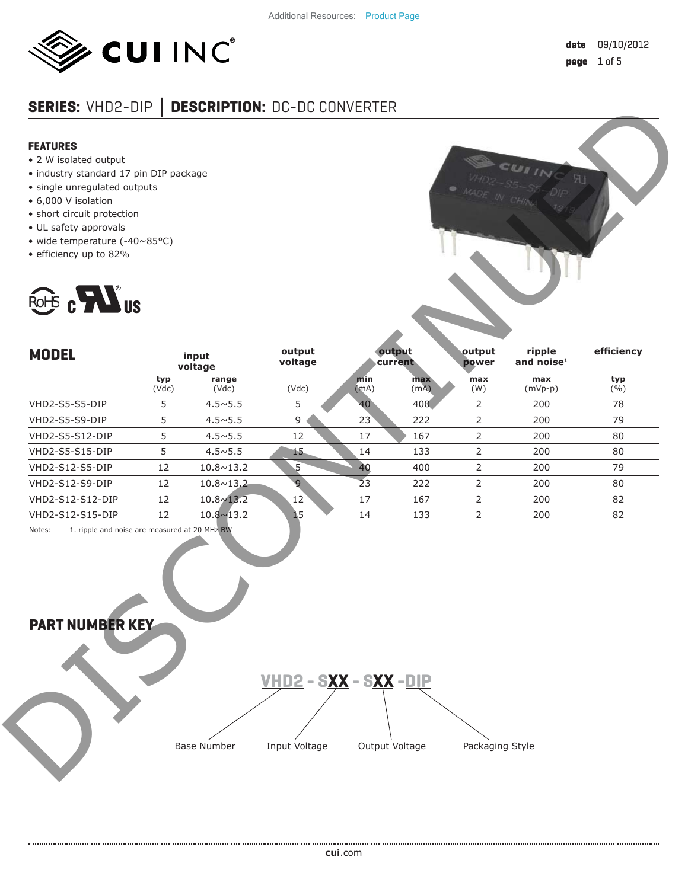

# **SERIES:** VHD2-DIP **│ DESCRIPTION:** DC-DC CONVERTER

# **FEATURES**

- 2 W isolated output
- industry standard 17 pin DIP package
- single unregulated outputs
- 6,000 V isolation
- short circuit protection
- UL safety approvals
- wide temperature (-40~85°C)
- efficiency up to 82%





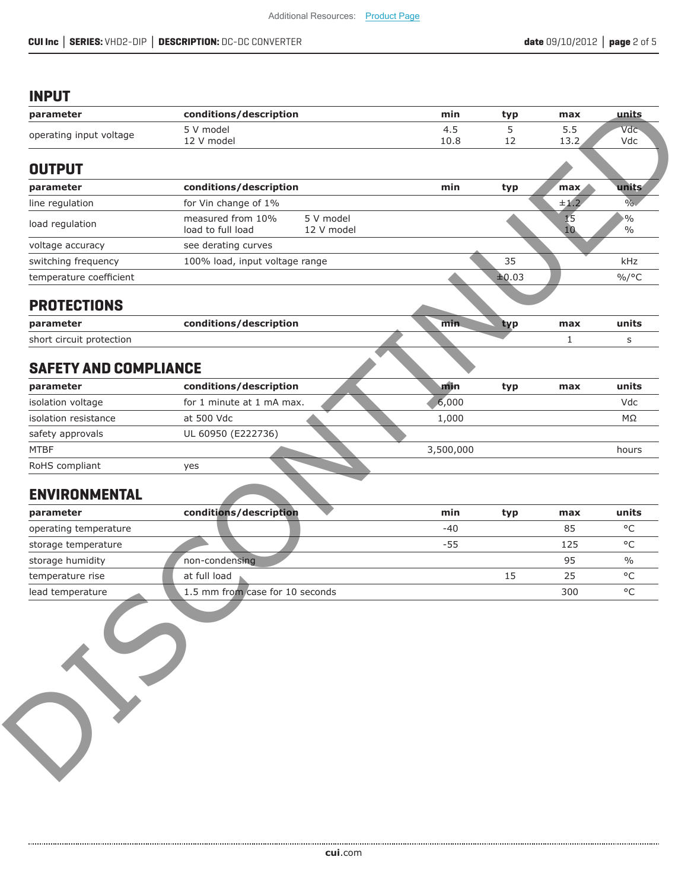# **INPUT**

| parameter                    |                                        |                         |           |       |          |                                |
|------------------------------|----------------------------------------|-------------------------|-----------|-------|----------|--------------------------------|
|                              | conditions/description                 |                         | min       | typ   | max      | units                          |
| operating input voltage      | 5 V model                              |                         | 4.5       | 5     | 5.5      | Vdc                            |
|                              | 12 V model                             |                         | 10.8      | 12    | 13.2     | Vdc                            |
| <b>OUTPUT</b>                |                                        |                         |           |       |          |                                |
| parameter                    | conditions/description                 |                         | min       | typ   | max      | units                          |
| line regulation              | for Vin change of 1%                   |                         |           |       | ±1.2     | $\%$                           |
| load regulation              | measured from 10%<br>load to full load | 5 V model<br>12 V model |           |       | 15<br>10 | $\frac{1}{2}$<br>$\frac{0}{0}$ |
| voltage accuracy             | see derating curves                    |                         |           |       |          |                                |
| switching frequency          | 100% load, input voltage range         |                         |           | 35    |          | kHz                            |
| temperature coefficient      |                                        |                         |           | ±0.03 |          | $\%$ /°C                       |
| <b>PROTECTIONS</b>           |                                        |                         |           |       |          |                                |
| parameter                    | conditions/description                 |                         | min.      | typ   | max      | units                          |
| short circuit protection     |                                        |                         |           |       | 1        | S                              |
| <b>SAFETY AND COMPLIANCE</b> |                                        |                         |           |       |          |                                |
| parameter                    | conditions/description                 |                         | min       | typ   | max      | units                          |
| isolation voltage            | for 1 minute at 1 mA max.              |                         | 6,000     |       |          | Vdc                            |
| isolation resistance         | at 500 Vdc                             |                         | 1,000     |       |          | ΜΩ                             |
| safety approvals             | UL 60950 (E222736)                     |                         |           |       |          |                                |
| <b>MTBF</b>                  |                                        |                         | 3,500,000 |       |          | hours                          |
|                              | yes                                    |                         |           |       |          |                                |
| RoHS compliant               |                                        |                         |           |       |          |                                |
| <b>ENVIRONMENTAL</b>         |                                        |                         |           |       |          |                                |
| parameter                    | conditions/description                 |                         | min       | typ   | max      | units                          |
| operating temperature        |                                        |                         | $-40$     |       | 85       | $\circ \mathsf{C}$             |
| storage temperature          |                                        |                         | $-55$     |       | 125      | $^{\circ}$ C                   |
| storage humidity             | non-condensing                         |                         |           |       | 95       | $\frac{0}{0}$                  |
| temperature rise             | at full load                           |                         |           | 15    | 25       | $^{\circ}$ C                   |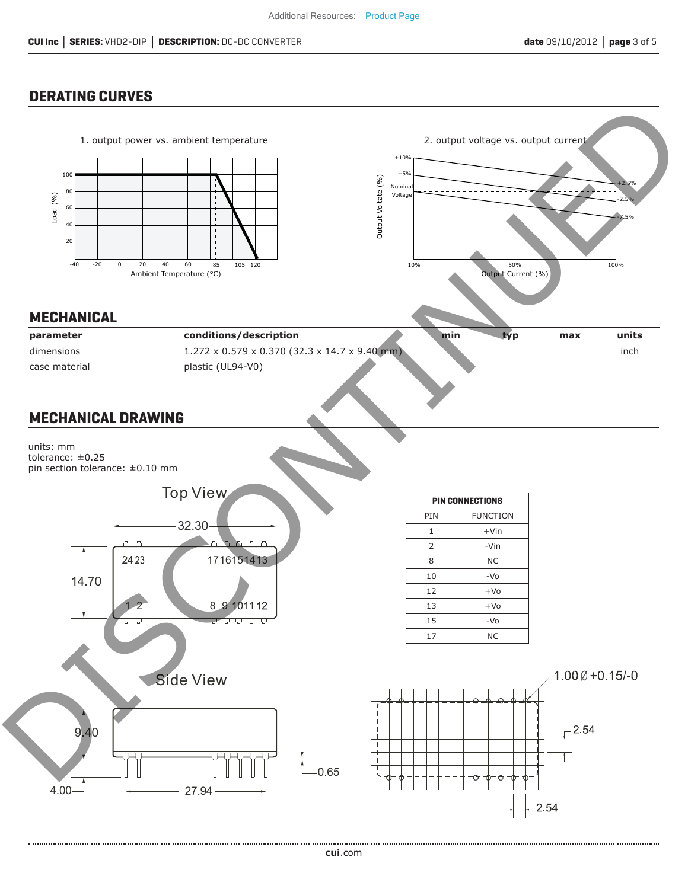# **DERATING CURVES**

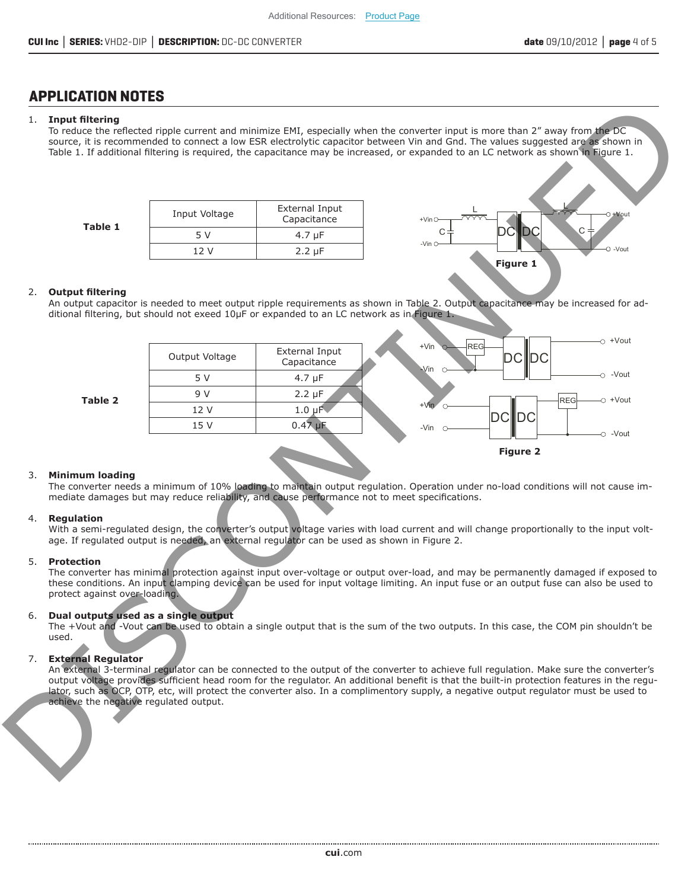# **APPLICATION NOTES**

## 1. **Input fi ltering**

To reduce the reflected ripple current and minimize EMI, especially when the converter input is more than 2" away from the DC source, it is recommended to connect a low ESR electrolytic capacitor between Vin and Gnd. The values suggested are as shown in Table 1. If additional filtering is required, the capacitance may be increased, or expanded to an LC network as shown in Figure 1.

**Table 1**

| Input Voltage | <b>External Input</b><br>Capacitance |
|---------------|--------------------------------------|
| 5 V           | $4.7 \mu F$                          |
| 12 V          | $2.2 \mu F$                          |



### 2. Output filtering

An output capacitor is needed to meet output ripple requirements as shown in Table 2. Output capacitance may be increased for additional filtering, but should not exeed 10µF or expanded to an LC network as in Figure 1.



#### 3. **Minimum loading**

The converter needs a minimum of 10% loading to maintain output regulation. Operation under no-load conditions will not cause immediate damages but may reduce reliability, and cause performance not to meet specifications.

#### 4. **Regulation**

With a semi-regulated design, the converter's output voltage varies with load current and will change proportionally to the input voltage. If regulated output is needed, an external regulator can be used as shown in Figure 2.

### 5. **Protection**

The converter has minimal protection against input over-voltage or output over-load, and may be permanently damaged if exposed to these conditions. An input clamping device can be used for input voltage limiting. An input fuse or an output fuse can also be used to protect against over-loading.

### 6. **Dual outputs used as a single output**

The +Vout and -Vout can be used to obtain a single output that is the sum of the two outputs. In this case, the COM pin shouldn't be used.

### 7. **External Regulator**

An external 3-terminal regulator can be connected to the output of the converter to achieve full regulation. Make sure the converter's output voltage provides sufficient head room for the regulator. An additional benefit is that the built-in protection features in the regulator, such as OCP, OTP, etc, will protect the converter also. In a complimentory supply, a negative output regulator must be used to achieve the negative regulated output.